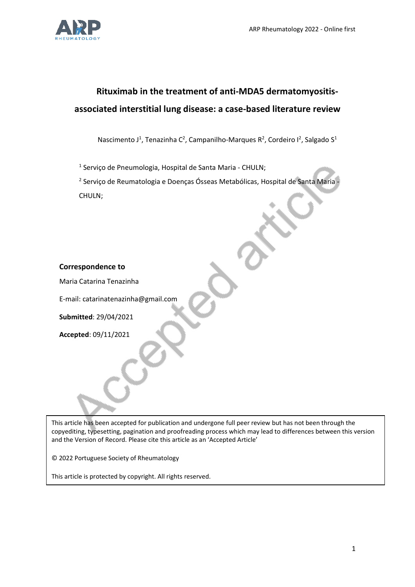

# **Rituximab in the treatment of anti-MDA5 dermatomyositisassociated interstitial lung disease: a case-based literature review**

Nascimento J<sup>1</sup>, Tenazinha C<sup>2</sup>, Campanilho-Marques R<sup>2</sup>, Cordeiro I<sup>2</sup>, Salgado S<sup>1</sup>

<sup>1</sup> Serviço de Pneumologia, Hospital de Santa Maria - CHULN;

<sup>2</sup> Serviço de Reumatologia e Doenças Ósseas Metabólicas, Hospital de Santa Maria -CHULN;

## **Correspondence to**

Maria Catarina Tenazinha

E-mail: catarinatenazinha@gmail.com

**Submitted**: 29/04/2021

**Accepted**: 09/11/2021

This article has been accepted for publication and undergone full peer review but has not been through the copyediting, typesetting, pagination and proofreading process which may lead to differences between this version and the Version of Record. Please cite this article as an 'Accepted Article'

© 2022 Portuguese Society of Rheumatology

This article is protected by copyright. All rights reserved.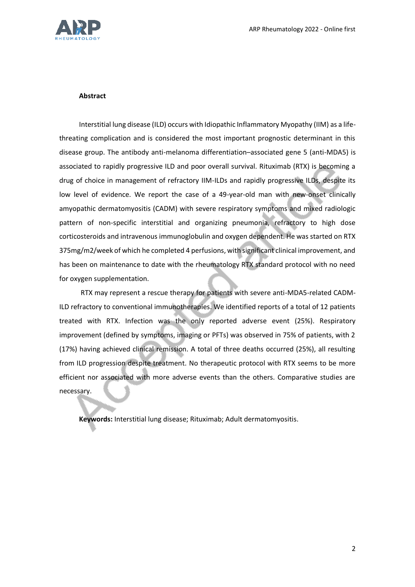

#### **Abstract**

Interstitial lung disease (ILD) occurs with Idiopathic Inflammatory Myopathy (IIM) as a lifethreating complication and is considered the most important prognostic determinant in this disease group. The antibody anti-melanoma differentiation–associated gene 5 (anti-MDA5) is associated to rapidly progressive ILD and poor overall survival. Rituximab (RTX) is becoming a drug of choice in management of refractory IIM-ILDs and rapidly progressive ILDs, despite its low level of evidence. We report the case of a 49-year-old man with new-onset clinically amyopathic dermatomyositis (CADM) with severe respiratory symptoms and mixed radiologic pattern of non-specific interstitial and organizing pneumonia, refractory to high dose corticosteroids and intravenous immunoglobulin and oxygen dependent. He was started on RTX 375mg/m2/week of which he completed 4 perfusions, with significant clinical improvement, and has been on maintenance to date with the rheumatology RTX standard protocol with no need for oxygen supplementation.

RTX may represent a rescue therapy for patients with severe anti-MDA5-related CADM-ILD refractory to conventional immunotherapies. We identified reports of a total of 12 patients treated with RTX. Infection was the only reported adverse event (25%). Respiratory improvement (defined by symptoms, imaging or PFTs) was observed in 75% of patients, with 2 (17%) having achieved clinical remission. A total of three deaths occurred (25%), all resulting from ILD progression despite treatment. No therapeutic protocol with RTX seems to be more efficient nor associated with more adverse events than the others. Comparative studies are necessary.

**Keywords:** Interstitial lung disease; Rituximab; Adult dermatomyositis.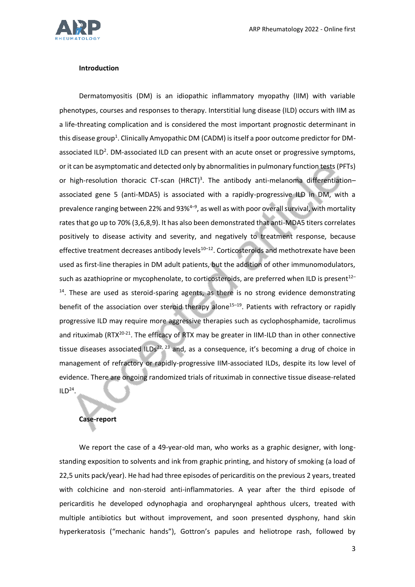

#### **Introduction**

Dermatomyositis (DM) is an idiopathic inflammatory myopathy (IIM) with variable phenotypes, courses and responses to therapy. Interstitial lung disease (ILD) occurs with IIM as a life-threating complication and is considered the most important prognostic determinant in this disease group<sup>1</sup>. Clinically Amyopathic DM (CADM) is itself a poor outcome predictor for DMassociated ILD<sup>2</sup>. DM-associated ILD can present with an acute onset or progressive symptoms, or it can be asymptomatic and detected only by abnormalities in pulmonary function tests (PFTs) or high-resolution thoracic CT-scan (HRCT)<sup>3</sup>. The antibody anti-melanoma differentiationassociated gene 5 (anti-MDA5) is associated with a rapidly-progressive ILD in DM, with a prevalence ranging between 22% and 93%<sup>4-9</sup>, as well as with poor overall survival, with mortality rates that go up to 70% (3,6,8,9). It has also been demonstrated that anti-MDA5 titers correlates positively to disease activity and severity, and negatively to treatment response, because effective treatment decreases antibody levels $10-12$ . Corticosteroids and methotrexate have been used as first-line therapies in DM adult patients, but the addition of other immunomodulators, such as azathioprine or mycophenolate, to corticosteroids, are preferred when ILD is present<sup>12-</sup>  $<sup>14</sup>$ . These are used as steroid-sparing agents, as there is no strong evidence demonstrating</sup> benefit of the association over steroid therapy alone<sup>15-19</sup>. Patients with refractory or rapidly progressive ILD may require more aggressive therapies such as cyclophosphamide, tacrolimus and rituximab (RTX $^{20-21}$ . The efficacy of RTX may be greater in IIM-ILD than in other connective tissue diseases associated ILDs<sup>22, 23</sup> and, as a consequence, it's becoming a drug of choice in management of refractory or rapidly-progressive IIM-associated ILDs, despite its low level of evidence. There are ongoing randomized trials of rituximab in connective tissue disease-related  $ILD<sup>24</sup>$ .

#### **Case-report**

We report the case of a 49-year-old man, who works as a graphic designer, with longstanding exposition to solvents and ink from graphic printing, and history of smoking (a load of 22,5 units pack/year). He had had three episodes of pericarditis on the previous 2 years, treated with colchicine and non-steroid anti-inflammatories. A year after the third episode of pericarditis he developed odynophagia and oropharyngeal aphthous ulcers, treated with multiple antibiotics but without improvement, and soon presented dysphony, hand skin hyperkeratosis ("mechanic hands"), Gottron's papules and heliotrope rash, followed by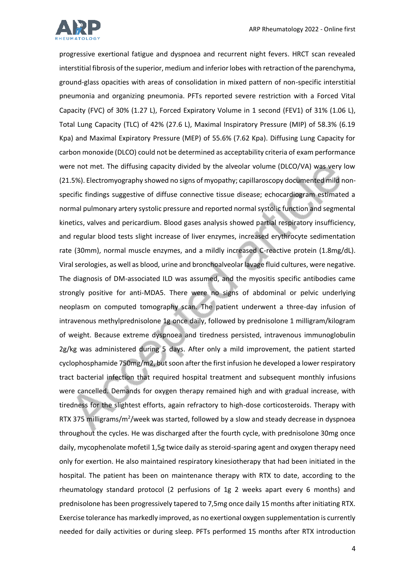

progressive exertional fatigue and dyspnoea and recurrent night fevers. HRCT scan revealed interstitial fibrosis of the superior, medium and inferior lobes with retraction of the parenchyma, ground-glass opacities with areas of consolidation in mixed pattern of non-specific interstitial pneumonia and organizing pneumonia. PFTs reported severe restriction with a Forced Vital Capacity (FVC) of 30% (1.27 L), Forced Expiratory Volume in 1 second (FEV1) of 31% (1.06 L), Total Lung Capacity (TLC) of 42% (27.6 L), Maximal Inspiratory Pressure (MIP) of 58.3% (6.19 Kpa) and Maximal Expiratory Pressure (MEP) of 55.6% (7.62 Kpa). Diffusing Lung Capacity for carbon monoxide (DLCO) could not be determined as acceptability criteria of exam performance were not met. The diffusing capacity divided by the alveolar volume (DLCO/VA) was very low (21.5%). Electromyography showed no signs of myopathy; capillaroscopy documented mild nonspecific findings suggestive of diffuse connective tissue disease; echocardiogram estimated a normal pulmonary artery systolic pressure and reported normal systolic function and segmental kinetics, valves and pericardium. Blood gases analysis showed partial respiratory insufficiency, and regular blood tests slight increase of liver enzymes, increased erythrocyte sedimentation rate (30mm), normal muscle enzymes, and a mildly increased C-reactive protein (1.8mg/dL). Viral serologies, as well as blood, urine and bronchoalveolar lavage fluid cultures, were negative. The diagnosis of DM-associated ILD was assumed, and the myositis specific antibodies came strongly positive for anti-MDA5. There were no signs of abdominal or pelvic underlying neoplasm on computed tomography scan. The patient underwent a three-day infusion of intravenous methylprednisolone 1g once daily, followed by prednisolone 1 milligram/kilogram of weight. Because extreme dyspnoea and tiredness persisted, intravenous immunoglobulin 2g/kg was administered during 5 days. After only a mild improvement, the patient started cyclophosphamide 750mg/m2, but soon after the first infusion he developed a lower respiratory tract bacterial infection that required hospital treatment and subsequent monthly infusions were cancelled. Demands for oxygen therapy remained high and with gradual increase, with tiredness for the slightest efforts, again refractory to high-dose corticosteroids. Therapy with RTX 375 milligrams/m<sup>2</sup>/week was started, followed by a slow and steady decrease in dyspnoea throughout the cycles. He was discharged after the fourth cycle, with prednisolone 30mg once daily, mycophenolate mofetil 1,5g twice daily as steroid-sparing agent and oxygen therapy need only for exertion. He also maintained respiratory kinesiotherapy that had been initiated in the hospital. The patient has been on maintenance therapy with RTX to date, according to the rheumatology standard protocol (2 perfusions of 1g 2 weeks apart every 6 months) and prednisolone has been progressively tapered to 7,5mg once daily 15 months after initiating RTX. Exercise tolerance has markedly improved, as no exertional oxygen supplementation is currently needed for daily activities or during sleep. PFTs performed 15 months after RTX introduction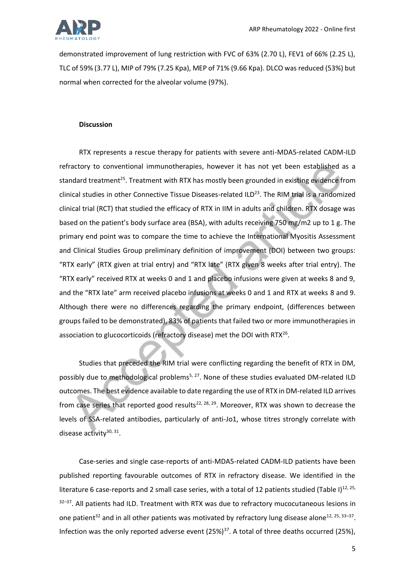

demonstrated improvement of lung restriction with FVC of 63% (2.70 L), FEV1 of 66% (2.25 L), TLC of 59% (3.77 L), MIP of 79% (7.25 Kpa), MEP of 71% (9.66 Kpa). DLCO was reduced (53%) but normal when corrected for the alveolar volume (97%).

#### **Discussion**

RTX represents a rescue therapy for patients with severe anti-MDA5-related CADM-ILD refractory to conventional immunotherapies, however it has not yet been established as a standard treatment<sup>25</sup>. Treatment with RTX has mostly been grounded in existing evidence from clinical studies in other Connective Tissue Diseases-related ILD<sup>23</sup>. The RIM trial is a randomized clinical trial (RCT) that studied the efficacy of RTX in IIM in adults and children. RTX dosage was based on the patient's body surface area (BSA), with adults receiving 750 mg/m2 up to 1 g. The primary end point was to compare the time to achieve the International Myositis Assessment and Clinical Studies Group preliminary definition of improvement (DOI) between two groups: "RTX early" (RTX given at trial entry) and "RTX late" (RTX given 8 weeks after trial entry). The "RTX early" received RTX at weeks 0 and 1 and placebo infusions were given at weeks 8 and 9, and the "RTX late" arm received placebo infusions at weeks 0 and 1 and RTX at weeks 8 and 9. Although there were no differences regarding the primary endpoint, (differences between groups failed to be demonstrated), 83% of patients that failed two or more immunotherapies in association to glucocorticoids (refractory disease) met the DOI with RTX $^{26}$ .

Studies that preceded the RIM trial were conflicting regarding the benefit of RTX in DM, possibly due to methodological problems<sup>5, 27</sup>. None of these studies evaluated DM-related ILD outcomes. The best evidence available to date regarding the use of RTX in DM-related ILD arrives from case series that reported good results<sup>22, 28, 29</sup>. Moreover, RTX was shown to decrease the levels of SSA-related antibodies, particularly of anti-Jo1, whose titres strongly correlate with disease activity<sup>30, 31</sup>.

Case-series and single case-reports of anti-MDA5-related CADM-ILD patients have been published reporting favourable outcomes of RTX in refractory disease. We identified in the literature 6 case-reports and 2 small case series, with a total of 12 patients studied (Table I)<sup>12, 25,</sup>  $32-37$ . All patients had ILD. Treatment with RTX was due to refractory mucocutaneous lesions in one patient<sup>32</sup> and in all other patients was motivated by refractory lung disease alone<sup>12, 25, 33-37</sup>. Infection was the only reported adverse event  $(25%)^{37}$ . A total of three deaths occurred (25%),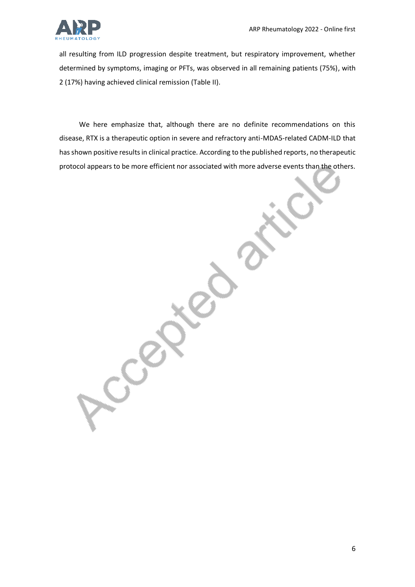

all resulting from ILD progression despite treatment, but respiratory improvement, whether determined by symptoms, imaging or PFTs, was observed in all remaining patients (75%), with 2 (17%) having achieved clinical remission (Table II).

We here emphasize that, although there are no definite recommendations on this disease, RTX is a therapeutic option in severe and refractory anti-MDA5-related CADM-ILD that has shown positive results in clinical practice. According to the published reports, no therapeutic protocol appears to be more efficient nor associated with more adverse events than the others.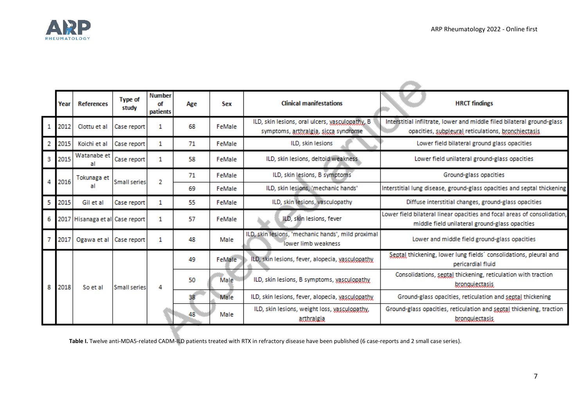

**STATE** 

|   | Year | <b>References</b>               | <b>Type of</b><br>study | <b>Number</b><br>οf<br>patients | Age | Sex    | <b>Clinical manifestations</b>                                                          | <b>HRCT</b> findings                                                                                                          |  |  |  |
|---|------|---------------------------------|-------------------------|---------------------------------|-----|--------|-----------------------------------------------------------------------------------------|-------------------------------------------------------------------------------------------------------------------------------|--|--|--|
|   | 2012 | Clottu et al                    | Case report             | 1                               | 68  | FeMale | ILD, skin lesions, oral ulcers, vasculonathy, B<br>symptoms, arthralgia, sicca syndrome | Interstitial infiltrate, lower and middle filed bilateral ground-glass<br>opacities, subpleural reticulations, bronchiectasis |  |  |  |
| 2 | 2015 | Koichi et al                    | Case report             | 1                               | 71  | FeMale | ILD, skin lesions                                                                       | Lower field bilateral ground glass opacities                                                                                  |  |  |  |
| 3 | 2015 | Watanabe et<br>al               | Case report             | 1                               | 58  | FeMale | ILD, skin lesions, deltoid weakness                                                     | Lower field unilateral ground-glass opacities                                                                                 |  |  |  |
|   | 2016 | Tokunaga et<br>al               | Small series            | 2                               | 71  | FeMale | ILD, skin lesions, B symptoms                                                           | Ground-glass opacities                                                                                                        |  |  |  |
|   |      |                                 |                         |                                 | 69  | FeMale | ILD, skin lesions, 'mechanic hands'                                                     | Interstitial lung disease, ground-glass opacities and septal thickening                                                       |  |  |  |
| 5 | 2015 | Gil et al                       | Case report             | 1                               | 55  | FeMale | ILD, skin lesions, vasculopathy                                                         | Diffuse interstitial changes, ground-glass opacities                                                                          |  |  |  |
|   |      | 2017 Hisanaga et al Case report |                         | 1                               | 57  | FeMale | ILD, skin lesions, fever                                                                | Lower field bilateral linear opacities and focal areas of consolidation,<br>middle field unilateral ground-glass opacities    |  |  |  |
|   | 2017 | Ogawa et al                     | Case report             | 1                               | 48  | Male   | ILD, skin lesions, 'mechanic hands', mild proximal<br>lower limb weakness               | Lower and middle field ground-glass opacities                                                                                 |  |  |  |
|   | 2018 | So et al                        | Small series            | 4                               | 49  | FeMale | ILD, skin lesions, fever, alopecia, vasculopathy                                        | Septal thickening, lower lung fields' consolidations, pleural and<br>pericardial fluid                                        |  |  |  |
| 8 |      |                                 |                         |                                 | 50  | Male   | ILD, skin lesions, B symptoms, vasculopathy                                             | Consolidations, septal thickening, reticulation with traction<br>bronquiectasis.                                              |  |  |  |
|   |      |                                 |                         |                                 | 38  | Male   | ILD, skin lesions, fever, alopecia, vasculopathy                                        | Ground-glass opacities, reticulation and septal thickening                                                                    |  |  |  |
|   |      |                                 |                         |                                 | 48  | Male   | ILD, skin lesions, weight loss, vasculopathy,<br><i>atthralgia</i>                      | Ground-glass opacities, reticulation and septal thickening, traction<br>bronquiectasis.                                       |  |  |  |
|   |      |                                 |                         |                                 |     |        |                                                                                         |                                                                                                                               |  |  |  |

Table I. Twelve anti-MDA5-related CADM-ILD patients treated with RTX in refractory disease have been published (6 case-reports and 2 small case series).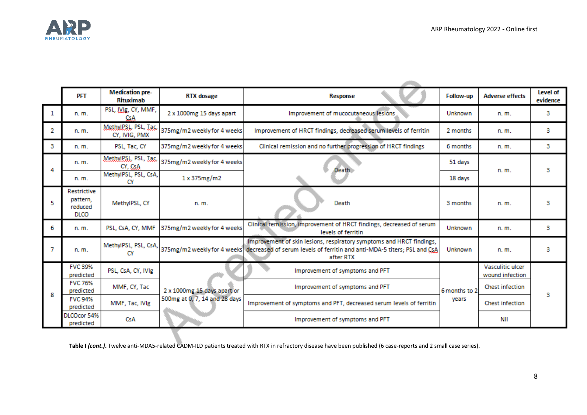

**Continued** 

|   | <b>PFT</b>                                        | <b>Medication pre-</b><br>Rituximab   | <b>RTX</b> dosage             | Response                                                                                                                                                                                    | Follow-up              | <b>Adverse effects</b>              | Level of<br>evidence |
|---|---------------------------------------------------|---------------------------------------|-------------------------------|---------------------------------------------------------------------------------------------------------------------------------------------------------------------------------------------|------------------------|-------------------------------------|----------------------|
| 1 | $n, m$ .                                          | PSL, IVIE, CY, MMF,<br>CsA            | 2 x 1000mg 15 days apart      | Improvement of mucocutaneous lesions                                                                                                                                                        | Unknown                | n. m.                               | 3                    |
| 2 | n. m.                                             | MethulPSL, PSL, Tac.<br>CY, IVIG, PMX | 375mg/m2 weekly for 4 weeks   | Improvement of HRCT findings, decreased serum levels of ferritin                                                                                                                            | 2 months               | n. m.                               | з                    |
| з | n. m.                                             | PSL, Tac, CY                          | 375mg/m2 weekly for 4 weeks   | Clinical remission and no further progression of HRCT findings                                                                                                                              | 6 months               | n. m.                               | з                    |
|   | n. m.                                             | MethulPSL, PSL, Tac,<br>CY, CSA       | 375mg/m2 weekly for 4 weeks   | Death                                                                                                                                                                                       | 51 days                | n. m.                               | 3                    |
|   | n. m.                                             | MethylPSL, PSL, CsA,<br>CY            | 1x375mg/m2                    |                                                                                                                                                                                             | 18 days                |                                     |                      |
|   | Restrictive<br>pattern.<br>reduced<br><b>DLCO</b> | MethylPSL, CY                         | n. m.                         | Death                                                                                                                                                                                       | 3 months               | n. m.                               | з                    |
| 6 | n. m.                                             | PSL, CsA, CY, MMF                     | 375mg/m2 weekly for 4 weeks   | Clinical remission, improvement of HRCT findings, decreased of serum<br>levels of ferritin                                                                                                  | Unknown                | n. m.                               | з                    |
|   | n. m.                                             | MethylPSL, PSL, CsA,<br>CY            |                               | Improvement of skin lesions, respiratory symptoms and HRCT findings,<br>375mg/m2 weekly for 4 weeks   decreased of serum levels of ferritin and anti-MDA-5 titers; PSL and CsA<br>after RTX | Unknown                | n. m.                               | з                    |
| 8 | <b>FVC 39%</b><br>predicted                       | PSL, CsA, CY, IVIg                    |                               | Improvement of symptoms and PFT                                                                                                                                                             | 6 months to 2<br>vears | Vasculitic ulcer<br>wound infection | з                    |
|   | <b>FVC 76%</b><br>predicted                       | MMF, CY, Tac                          | 2 x 1000mg 15 days apart or   | Improvement of symptoms and PFT                                                                                                                                                             |                        | <b>Chest infection</b>              |                      |
|   | <b>FVC 94%</b><br>predicted                       | MMF, Tac, IVIg                        | 500mg at 0, 7, 14 and 28 days | Improvement of symptoms and PFT, decreased serum levels of ferritin                                                                                                                         |                        | <b>Chest infection</b>              |                      |
|   | DLCOcor 54%<br>predicted                          | CsA                                   |                               | Improvement of symptoms and PFT                                                                                                                                                             |                        | Nil                                 |                      |

Table I *(cont.)*. Twelve anti-MDA5-related CADM-ILD patients treated with RTX in refractory disease have been published (6 case-reports and 2 small case series).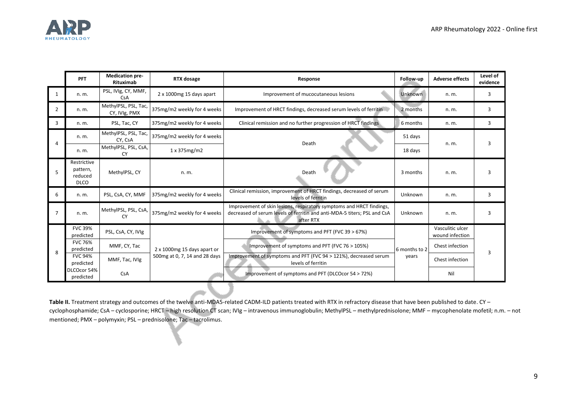

|                | <b>PFT</b>                                        | <b>Medication pre-</b><br>Rituximab   | RTX dosage                                                   | Response                                                                                                                                                      | Follow-up     | <b>Adverse effects</b>              | Level of<br>evidence |
|----------------|---------------------------------------------------|---------------------------------------|--------------------------------------------------------------|---------------------------------------------------------------------------------------------------------------------------------------------------------------|---------------|-------------------------------------|----------------------|
| 1              | n. m.                                             | PSL, IVIg, CY, MMF,<br><b>CsA</b>     | 2 x 1000mg 15 days apart                                     | Improvement of mucocutaneous lesions                                                                                                                          | Unknown       | n. m.                               | 3                    |
| 2              | n. m.                                             | MethylPSL, PSL, Tac,<br>CY, IVIg, PMX | 375mg/m2 weekly for 4 weeks                                  | Improvement of HRCT findings, decreased serum levels of ferritin                                                                                              | 2 months      | n. m.                               | 3                    |
| 3              | n. m.                                             | PSL, Tac, CY                          | 375mg/m2 weekly for 4 weeks                                  | Clinical remission and no further progression of HRCT findings                                                                                                | 6 months      | n. m.                               | 3                    |
| 4              | n. m.                                             | MethylPSL, PSL, Tac,<br>CY, CsA       | 375mg/m2 weekly for 4 weeks                                  | Death                                                                                                                                                         | 51 days       | n. m.                               | 3                    |
|                | n. m.                                             | MethylPSL, PSL, CsA,<br>CY            | 1x375mg/m2                                                   |                                                                                                                                                               | 18 days       |                                     |                      |
| 5              | Restrictive<br>pattern,<br>reduced<br><b>DLCO</b> | MethylPSL, CY                         | n. m.                                                        | Death                                                                                                                                                         | 3 months      | n. m.                               |                      |
| 6              | n. m.                                             | PSL, CsA, CY, MMF                     | 375mg/m2 weekly for 4 weeks                                  | Clinical remission, improvement of HRCT findings, decreased of serum<br>levels of ferritin                                                                    | Unknown       | n. m.                               | 3                    |
| $\overline{7}$ | n. m.                                             | MethylPSL, PSL, CsA,<br>CY            | 375mg/m2 weekly for 4 weeks                                  | Improvement of skin lesions, respiratory symptoms and HRCT findings,<br>decreased of serum levels of ferritin and anti-MDA-5 titers; PSL and CsA<br>after RTX | Unknown       | n. m.                               | 3                    |
| 8              | <b>FVC 39%</b><br>predicted                       | PSL, CsA, CY, IVIg                    |                                                              | Improvement of symptoms and PFT (FVC 39 > 67%)                                                                                                                | 6 months to 2 | Vasculitic ulcer<br>wound infection | 3                    |
|                | <b>FVC 76%</b><br>predicted                       | MMF, CY, Tac                          | 2 x 1000mg 15 days apart or<br>500mg at 0, 7, 14 and 28 days | Improvement of symptoms and PFT (FVC 76 > 105%)                                                                                                               |               | Chest infection                     |                      |
|                | <b>FVC 94%</b><br>predicted                       | MMF, Tac, IVIg                        |                                                              | Improvement of symptoms and PFT (FVC 94 > 121%), decreased serum<br>levels of ferritin                                                                        | years         | Chest infection                     |                      |
|                | DLCOcor 54%<br>predicted                          | CsA                                   |                                                              | Improvement of symptoms and PFT (DLCOcor 54 > 72%)                                                                                                            |               | Nil                                 |                      |

Table II. Treatment strategy and outcomes of the twelve anti-MDA5-related CADM-ILD patients treated with RTX in refractory disease that have been published to date. CY cyclophosphamide; CsA – cyclosporine; HRCT – high resolution CT scan; IVIg – intravenous immunoglobulin; MethylPSL – methylprednisolone; MMF – mycophenolate mofetil; n.m. – not mentioned; PMX – polymyxin; PSL – prednisolone; Tac – tacrolimus.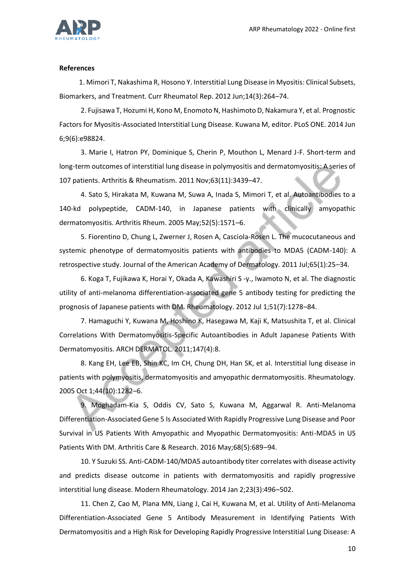

### **References**

1. Mimori T, Nakashima R, Hosono Y. Interstitial Lung Disease in Myositis: Clinical Subsets, Biomarkers, and Treatment. Curr Rheumatol Rep. 2012 Jun;14(3):264–74.

2. Fujisawa T, Hozumi H, Kono M, Enomoto N, Hashimoto D, Nakamura Y, et al. Prognostic Factors for Myositis-Associated Interstitial Lung Disease. Kuwana M, editor. PLoS ONE. 2014 Jun 6;9(6):e98824.

3. Marie I, Hatron PY, Dominique S, Cherin P, Mouthon L, Menard J-F. Short-term and long-term outcomes of interstitial lung disease in polymyositis and dermatomyositis: A series of 107 patients. Arthritis & Rheumatism. 2011 Nov;63(11):3439–47.

4. Sato S, Hirakata M, Kuwana M, Suwa A, Inada S, Mimori T, et al. Autoantibodies to a 140-kd polypeptide, CADM-140, in Japanese patients with clinically amyopathic dermatomyositis. Arthritis Rheum. 2005 May;52(5):1571–6.

5. Fiorentino D, Chung L, Zwerner J, Rosen A, Casciola-Rosen L. The mucocutaneous and systemic phenotype of dermatomyositis patients with antibodies to MDA5 (CADM-140): A retrospective study. Journal of the American Academy of Dermatology. 2011 Jul;65(1):25–34.

6. Koga T, Fujikawa K, Horai Y, Okada A, Kawashiri S -y., Iwamoto N, et al. The diagnostic utility of anti-melanoma differentiation-associated gene 5 antibody testing for predicting the prognosis of Japanese patients with DM. Rheumatology. 2012 Jul 1;51(7):1278–84.

7. Hamaguchi Y, Kuwana M, Hoshino K, Hasegawa M, Kaji K, Matsushita T, et al. Clinical Correlations With Dermatomyositis-Specific Autoantibodies in Adult Japanese Patients With Dermatomyositis. ARCH DERMATOL. 2011;147(4):8.

8. Kang EH, Lee EB, Shin KC, Im CH, Chung DH, Han SK, et al. Interstitial lung disease in patients with polymyositis, dermatomyositis and amyopathic dermatomyositis. Rheumatology. 2005 Oct 1;44(10):1282–6.

9. Moghadam-Kia S, Oddis CV, Sato S, Kuwana M, Aggarwal R. Anti-Melanoma Differentiation-Associated Gene 5 Is Associated With Rapidly Progressive Lung Disease and Poor Survival in US Patients With Amyopathic and Myopathic Dermatomyositis: Anti-MDA5 in US Patients With DM. Arthritis Care & Research. 2016 May;68(5):689–94.

10. Y Suzuki SS. Anti-CADM-140/MDA5 autoantibody titer correlates with disease activity and predicts disease outcome in patients with dermatomyositis and rapidly progressive interstitial lung disease. Modern Rheumatology. 2014 Jan 2;23(3):496–502.

11. Chen Z, Cao M, Plana MN, Liang J, Cai H, Kuwana M, et al. Utility of Anti-Melanoma Differentiation-Associated Gene 5 Antibody Measurement in Identifying Patients With Dermatomyositis and a High Risk for Developing Rapidly Progressive Interstitial Lung Disease: A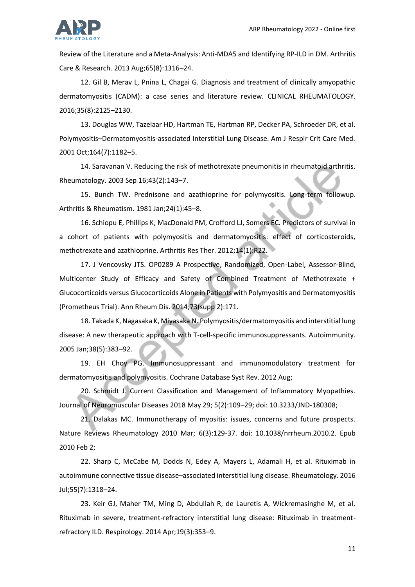

Review of the Literature and a Meta-Analysis: Anti-MDA5 and Identifying RP-ILD in DM. Arthritis Care & Research. 2013 Aug;65(8):1316–24.

12. Gil B, Merav L, Pnina L, Chagai G. Diagnosis and treatment of clinically amyopathic dermatomyositis (CADM): a case series and literature review. CLINICAL RHEUMATOLOGY. 2016;35(8):2125–2130.

13. Douglas WW, Tazelaar HD, Hartman TE, Hartman RP, Decker PA, Schroeder DR, et al. Polymyositis–Dermatomyositis-associated Interstitial Lung Disease. Am J Respir Crit Care Med. 2001 Oct;164(7):1182–5.

14. Saravanan V. Reducing the risk of methotrexate pneumonitis in rheumatoid arthritis. Rheumatology. 2003 Sep 16;43(2):143–7.

15. Bunch TW. Prednisone and azathioprine for polymyositis. Long-term followup. Arthritis & Rheumatism. 1981 Jan;24(1):45–8.

16. Schiopu E, Phillips K, MacDonald PM, Crofford LJ, Somers EC. Predictors of survival in a cohort of patients with polymyositis and dermatomyositis: effect of corticosteroids, methotrexate and azathioprine. Arthritis Res Ther. 2012;14(1):R22.

17. J Vencovsky JTS. OP0289 A Prospective, Randomized, Open-Label, Assessor-Blind, Multicenter Study of Efficacy and Safety of Combined Treatment of Methotrexate + Glucocorticoids versus Glucocorticoids Alone in Patients with Polymyositis and Dermatomyositis (Prometheus Trial). Ann Rheum Dis. 2014;73(supp 2):171.

18. Takada K, Nagasaka K, Miyasaka N. Polymyositis/dermatomyositis and interstitial lung disease: A new therapeutic approach with T-cell-specific immunosuppressants. Autoimmunity. 2005 Jan;38(5):383–92.

19. EH Choy PG. Immunosuppressant and immunomodulatory treatment for dermatomyositis and polymyositis. Cochrane Database Syst Rev. 2012 Aug;

20. Schmidt J. Current Classification and Management of Inflammatory Myopathies. Journal of Neuromuscular Diseases 2018 May 29; 5(2):109–29; doi: 10.3233/JND-180308;

21. Dalakas MC. Immunotherapy of myositis: issues, concerns and future prospects. Nature Reviews Rheumatology 2010 Mar; 6(3):129-37. doi: 10.1038/nrrheum.2010.2. Epub 2010 Feb 2;

22. Sharp C, McCabe M, Dodds N, Edey A, Mayers L, Adamali H, et al. Rituximab in autoimmune connective tissue disease–associated interstitial lung disease. Rheumatology. 2016 Jul;55(7):1318–24.

23. Keir GJ, Maher TM, Ming D, Abdullah R, de Lauretis A, Wickremasinghe M, et al. Rituximab in severe, treatment-refractory interstitial lung disease: Rituximab in treatmentrefractory ILD. Respirology. 2014 Apr;19(3):353–9.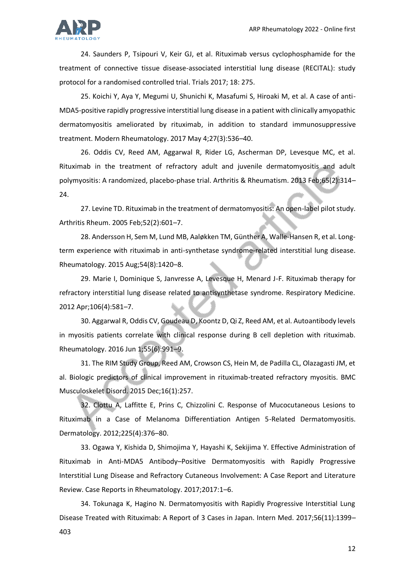

24. Saunders P, Tsipouri V, Keir GJ, et al. Rituximab versus cyclophosphamide for the treatment of connective tissue disease-associated interstitial lung disease (RECITAL): study protocol for a randomised controlled trial. Trials 2017; 18: 275.

25. Koichi Y, Aya Y, Megumi U, Shunichi K, Masafumi S, Hiroaki M, et al. A case of anti-MDA5-positive rapidly progressive interstitial lung disease in a patient with clinically amyopathic dermatomyositis ameliorated by rituximab, in addition to standard immunosuppressive treatment. Modern Rheumatology. 2017 May 4;27(3):536–40.

26. Oddis CV, Reed AM, Aggarwal R, Rider LG, Ascherman DP, Levesque MC, et al. Rituximab in the treatment of refractory adult and juvenile dermatomyositis and adult polymyositis: A randomized, placebo-phase trial. Arthritis & Rheumatism. 2013 Feb;65(2):314– 24.

27. Levine TD. Rituximab in the treatment of dermatomyositis: An open-label pilot study. Arthritis Rheum. 2005 Feb;52(2):601–7.

28. Andersson H, Sem M, Lund MB, Aaløkken TM, Günther A, Walle-Hansen R, et al. Longterm experience with rituximab in anti-synthetase syndrome-related interstitial lung disease. Rheumatology. 2015 Aug;54(8):1420–8.

29. Marie I, Dominique S, Janvresse A, Levesque H, Menard J-F. Rituximab therapy for refractory interstitial lung disease related to antisynthetase syndrome. Respiratory Medicine. 2012 Apr;106(4):581–7.

30. Aggarwal R, Oddis CV, Goudeau D, Koontz D, Qi Z, Reed AM, et al. Autoantibody levels in myositis patients correlate with clinical response during B cell depletion with rituximab. Rheumatology. 2016 Jun 1;55(6):991–9.

31. The RIM Study Group, Reed AM, Crowson CS, Hein M, de Padilla CL, Olazagasti JM, et al. Biologic predictors of clinical improvement in rituximab-treated refractory myositis. BMC Musculoskelet Disord. 2015 Dec;16(1):257.

32. Clottu A, Laffitte E, Prins C, Chizzolini C. Response of Mucocutaneous Lesions to Rituximab in a Case of Melanoma Differentiation Antigen 5-Related Dermatomyositis. Dermatology. 2012;225(4):376–80.

33. Ogawa Y, Kishida D, Shimojima Y, Hayashi K, Sekijima Y. Effective Administration of Rituximab in Anti-MDA5 Antibody–Positive Dermatomyositis with Rapidly Progressive Interstitial Lung Disease and Refractory Cutaneous Involvement: A Case Report and Literature Review. Case Reports in Rheumatology. 2017;2017:1–6.

34. Tokunaga K, Hagino N. Dermatomyositis with Rapidly Progressive Interstitial Lung Disease Treated with Rituximab: A Report of 3 Cases in Japan. Intern Med. 2017;56(11):1399– 403